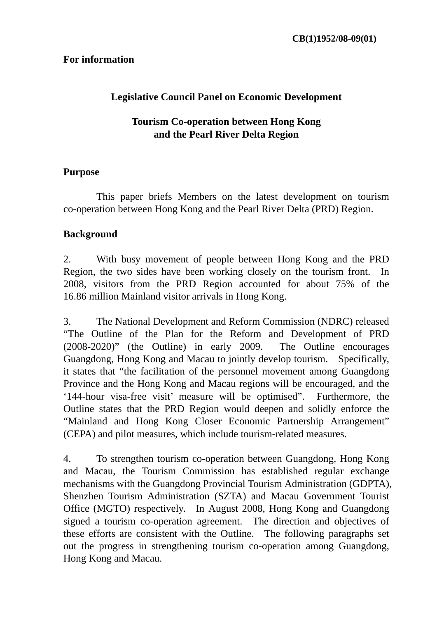## **For information**

# **Legislative Council Panel on Economic Development**

# **Tourism Co-operation between Hong Kong and the Pearl River Delta Region**

#### **Purpose**

 This paper briefs Members on the latest development on tourism co-operation between Hong Kong and the Pearl River Delta (PRD) Region.

#### **Background**

2. With busy movement of people between Hong Kong and the PRD Region, the two sides have been working closely on the tourism front. In 2008, visitors from the PRD Region accounted for about 75% of the 16.86 million Mainland visitor arrivals in Hong Kong.

3. The National Development and Reform Commission (NDRC) released "The Outline of the Plan for the Reform and Development of PRD (2008-2020)" (the Outline) in early 2009. The Outline encourages Guangdong, Hong Kong and Macau to jointly develop tourism. Specifically, it states that "the facilitation of the personnel movement among Guangdong Province and the Hong Kong and Macau regions will be encouraged, and the '144-hour visa-free visit' measure will be optimised". Furthermore, the Outline states that the PRD Region would deepen and solidly enforce the "Mainland and Hong Kong Closer Economic Partnership Arrangement" (CEPA) and pilot measures, which include tourism-related measures.

4. To strengthen tourism co-operation between Guangdong, Hong Kong and Macau, the Tourism Commission has established regular exchange mechanisms with the Guangdong Provincial Tourism Administration (GDPTA), Shenzhen Tourism Administration (SZTA) and Macau Government Tourist Office (MGTO) respectively. In August 2008, Hong Kong and Guangdong signed a tourism co-operation agreement. The direction and objectives of these efforts are consistent with the Outline. The following paragraphs set out the progress in strengthening tourism co-operation among Guangdong, Hong Kong and Macau.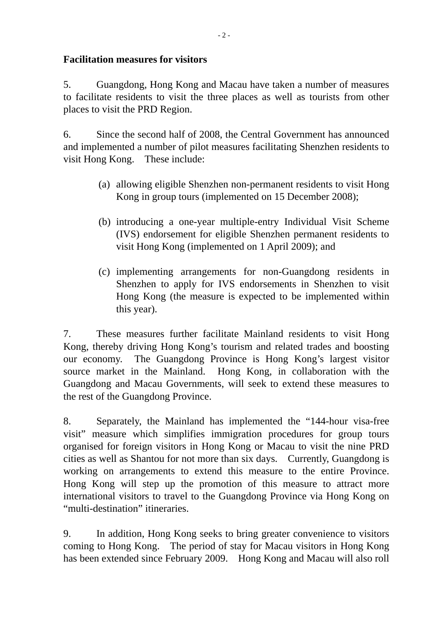# **Facilitation measures for visitors**

5. Guangdong, Hong Kong and Macau have taken a number of measures to facilitate residents to visit the three places as well as tourists from other places to visit the PRD Region.

6. Since the second half of 2008, the Central Government has announced and implemented a number of pilot measures facilitating Shenzhen residents to visit Hong Kong. These include:

- (a) allowing eligible Shenzhen non-permanent residents to visit Hong Kong in group tours (implemented on 15 December 2008);
- (b) introducing a one-year multiple-entry Individual Visit Scheme (IVS) endorsement for eligible Shenzhen permanent residents to visit Hong Kong (implemented on 1 April 2009); and
- (c) implementing arrangements for non-Guangdong residents in Shenzhen to apply for IVS endorsements in Shenzhen to visit Hong Kong (the measure is expected to be implemented within this year).

7. These measures further facilitate Mainland residents to visit Hong Kong, thereby driving Hong Kong's tourism and related trades and boosting our economy. The Guangdong Province is Hong Kong's largest visitor source market in the Mainland. Hong Kong, in collaboration with the Guangdong and Macau Governments, will seek to extend these measures to the rest of the Guangdong Province.

8. Separately, the Mainland has implemented the "144-hour visa-free visit" measure which simplifies immigration procedures for group tours organised for foreign visitors in Hong Kong or Macau to visit the nine PRD cities as well as Shantou for not more than six days. Currently, Guangdong is working on arrangements to extend this measure to the entire Province. Hong Kong will step up the promotion of this measure to attract more international visitors to travel to the Guangdong Province via Hong Kong on "multi-destination" itineraries.

9. In addition, Hong Kong seeks to bring greater convenience to visitors coming to Hong Kong. The period of stay for Macau visitors in Hong Kong has been extended since February 2009. Hong Kong and Macau will also roll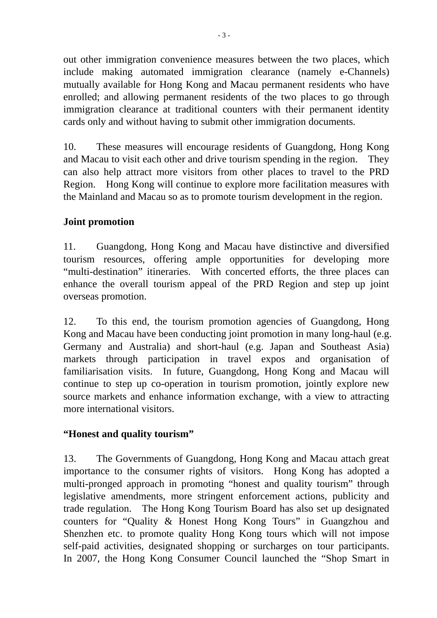out other immigration convenience measures between the two places, which include making automated immigration clearance (namely e-Channels) mutually available for Hong Kong and Macau permanent residents who have enrolled; and allowing permanent residents of the two places to go through immigration clearance at traditional counters with their permanent identity cards only and without having to submit other immigration documents.

10. These measures will encourage residents of Guangdong, Hong Kong and Macau to visit each other and drive tourism spending in the region. They can also help attract more visitors from other places to travel to the PRD Region. Hong Kong will continue to explore more facilitation measures with the Mainland and Macau so as to promote tourism development in the region.

# **Joint promotion**

11. Guangdong, Hong Kong and Macau have distinctive and diversified tourism resources, offering ample opportunities for developing more "multi-destination" itineraries. With concerted efforts, the three places can enhance the overall tourism appeal of the PRD Region and step up joint overseas promotion.

12. To this end, the tourism promotion agencies of Guangdong, Hong Kong and Macau have been conducting joint promotion in many long-haul (e.g. Germany and Australia) and short-haul (e.g. Japan and Southeast Asia) markets through participation in travel expos and organisation of familiarisation visits. In future, Guangdong, Hong Kong and Macau will continue to step up co-operation in tourism promotion, jointly explore new source markets and enhance information exchange, with a view to attracting more international visitors.

## **"Honest and quality tourism"**

13. The Governments of Guangdong, Hong Kong and Macau attach great importance to the consumer rights of visitors. Hong Kong has adopted a multi-pronged approach in promoting "honest and quality tourism" through legislative amendments, more stringent enforcement actions, publicity and trade regulation. The Hong Kong Tourism Board has also set up designated counters for "Quality & Honest Hong Kong Tours" in Guangzhou and Shenzhen etc. to promote quality Hong Kong tours which will not impose self-paid activities, designated shopping or surcharges on tour participants. In 2007, the Hong Kong Consumer Council launched the "Shop Smart in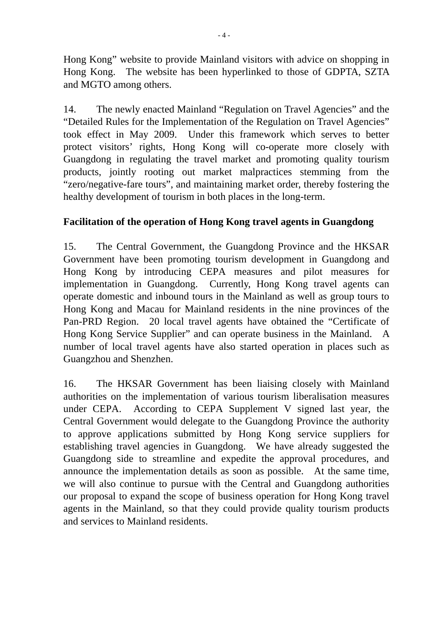Hong Kong" website to provide Mainland visitors with advice on shopping in Hong Kong. The website has been hyperlinked to those of GDPTA, SZTA and MGTO among others.

14. The newly enacted Mainland "Regulation on Travel Agencies" and the "Detailed Rules for the Implementation of the Regulation on Travel Agencies" took effect in May 2009. Under this framework which serves to better protect visitors' rights, Hong Kong will co-operate more closely with Guangdong in regulating the travel market and promoting quality tourism products, jointly rooting out market malpractices stemming from the "zero/negative-fare tours", and maintaining market order, thereby fostering the healthy development of tourism in both places in the long-term.

# **Facilitation of the operation of Hong Kong travel agents in Guangdong**

15. The Central Government, the Guangdong Province and the HKSAR Government have been promoting tourism development in Guangdong and Hong Kong by introducing CEPA measures and pilot measures for implementation in Guangdong. Currently, Hong Kong travel agents can operate domestic and inbound tours in the Mainland as well as group tours to Hong Kong and Macau for Mainland residents in the nine provinces of the Pan-PRD Region. 20 local travel agents have obtained the "Certificate of Hong Kong Service Supplier" and can operate business in the Mainland. A number of local travel agents have also started operation in places such as Guangzhou and Shenzhen.

16. The HKSAR Government has been liaising closely with Mainland authorities on the implementation of various tourism liberalisation measures under CEPA. According to CEPA Supplement V signed last year, the Central Government would delegate to the Guangdong Province the authority to approve applications submitted by Hong Kong service suppliers for establishing travel agencies in Guangdong. We have already suggested the Guangdong side to streamline and expedite the approval procedures, and announce the implementation details as soon as possible. At the same time, we will also continue to pursue with the Central and Guangdong authorities our proposal to expand the scope of business operation for Hong Kong travel agents in the Mainland, so that they could provide quality tourism products and services to Mainland residents.